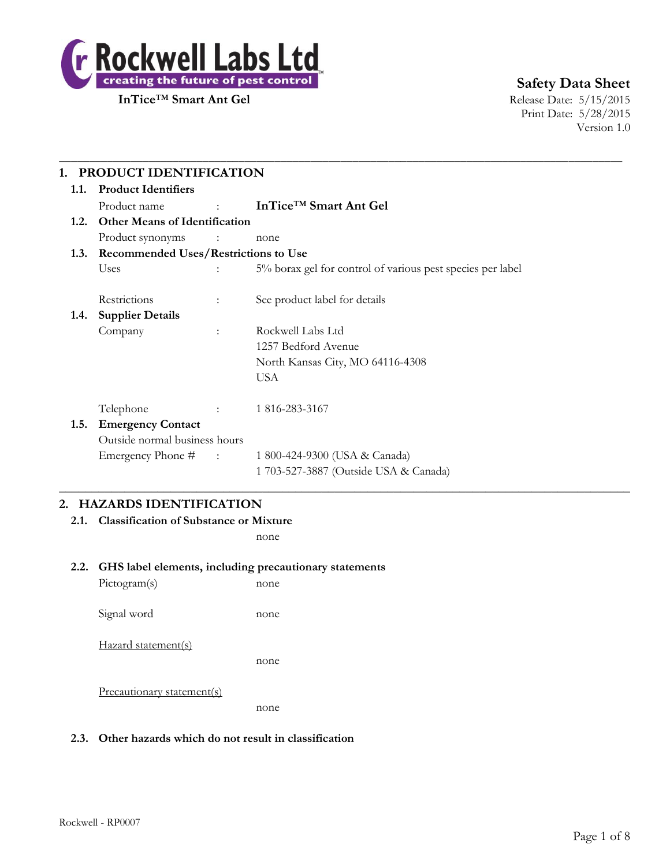

# **Safety Data Sheet**

Print Date: 5/28/2015 Version 1.0

| 1.1. | <b>Product Identifiers</b>                |                            |                                                            |  |
|------|-------------------------------------------|----------------------------|------------------------------------------------------------|--|
|      | Product name                              | <b>Service State State</b> | InTice <sup>TM</sup> Smart Ant Gel                         |  |
| 1.2. | <b>Other Means of Identification</b>      |                            |                                                            |  |
|      | Product synonyms                          | <b>Contract Contract</b>   | none                                                       |  |
|      | 1.3. Recommended Uses/Restrictions to Use |                            |                                                            |  |
|      | Uses                                      |                            | 5% borax gel for control of various pest species per label |  |
|      | Restrictions                              | $\ddot{\phantom{a}}$       | See product label for details                              |  |
| 1.4. | <b>Supplier Details</b>                   |                            |                                                            |  |
|      | Company                                   | $\ddot{\phantom{a}}$       | Rockwell Labs Ltd                                          |  |
|      |                                           |                            | 1257 Bedford Avenue                                        |  |
|      |                                           |                            | North Kansas City, MO 64116-4308                           |  |
|      |                                           |                            | <b>USA</b>                                                 |  |
|      | Telephone                                 |                            | 1816-283-3167                                              |  |
| 1.5. | <b>Emergency Contact</b>                  |                            |                                                            |  |
|      | Outside normal business hours             |                            |                                                            |  |
|      | Emergency Phone # :                       |                            | 1 800-424-9300 (USA & Canada)                              |  |
|      |                                           |                            | 1 703-527-3887 (Outside USA & Canada)                      |  |

#### **2. HAZARDS IDENTIFICATION**

**2.1. Classification of Substance or Mixture**

none

#### **2.2. GHS label elements, including precautionary statements**

Pictogram(s) none Signal word none Hazard statement(s) none Precautionary statement(s) none

#### **2.3. Other hazards which do not result in classification**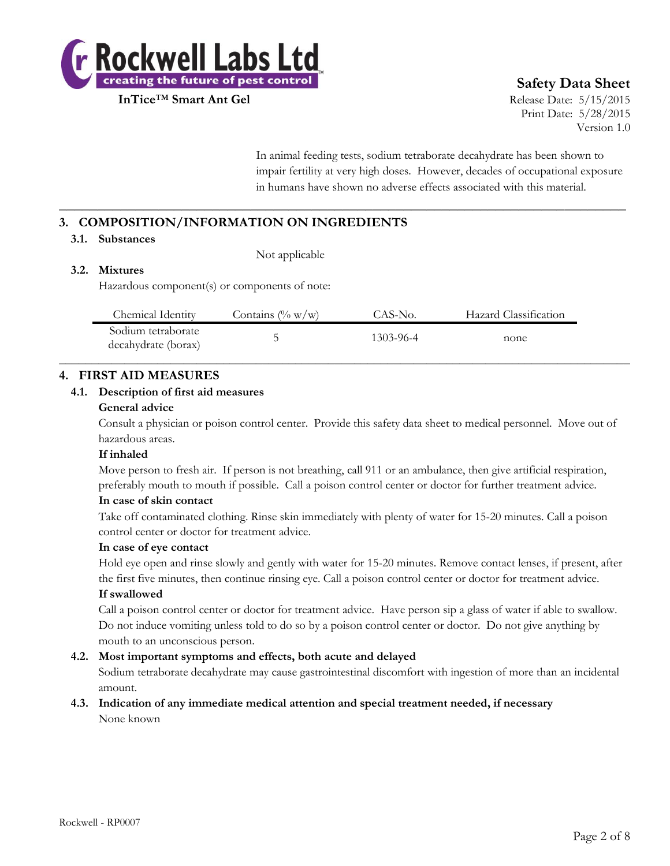

# **Safety Data Sheet**

Print Date: 5/28/2015 Version 1.0

In animal feeding tests, sodium tetraborate decahydrate has been shown to impair fertility at very high doses. However, decades of occupational exposure in humans have shown no adverse effects associated with this material.

# **3. COMPOSITION/INFORMATION ON INGREDIENTS**

#### **3.1. Substances**

Not applicable

#### **3.2. Mixtures**

Hazardous component(s) or components of note:

| Chemical Identity                         | Contains $(\% w/w)$ | CAS-No.   | Hazard Classification |  |
|-------------------------------------------|---------------------|-----------|-----------------------|--|
| Sodium tetraborate<br>decahydrate (borax) | ◡                   | 1303-96-4 | none                  |  |

**\_\_\_\_\_\_\_\_\_\_\_\_\_\_\_\_\_\_\_\_\_\_\_\_\_\_\_\_\_\_\_\_\_\_\_\_\_\_\_\_\_\_\_\_\_\_\_\_\_\_\_\_\_\_\_\_\_\_\_\_\_\_\_\_\_\_\_\_\_\_\_\_\_\_**

#### **4. FIRST AID MEASURES**

#### **4.1. Description of first aid measures**

#### **General advice**

Consult a physician or poison control center. Provide this safety data sheet to medical personnel. Move out of hazardous areas.

#### **If inhaled**

Move person to fresh air. If person is not breathing, call 911 or an ambulance, then give artificial respiration, preferably mouth to mouth if possible. Call a poison control center or doctor for further treatment advice.

#### **In case of skin contact**

Take off contaminated clothing. Rinse skin immediately with plenty of water for 15-20 minutes. Call a poison control center or doctor for treatment advice.

#### **In case of eye contact**

Hold eye open and rinse slowly and gently with water for 15-20 minutes. Remove contact lenses, if present, after the first five minutes, then continue rinsing eye. Call a poison control center or doctor for treatment advice.

#### **If swallowed**

Call a poison control center or doctor for treatment advice. Have person sip a glass of water if able to swallow. Do not induce vomiting unless told to do so by a poison control center or doctor. Do not give anything by mouth to an unconscious person.

#### **4.2. Most important symptoms and effects, both acute and delayed**

Sodium tetraborate decahydrate may cause gastrointestinal discomfort with ingestion of more than an incidental amount.

#### **4.3. Indication of any immediate medical attention and special treatment needed, if necessary** None known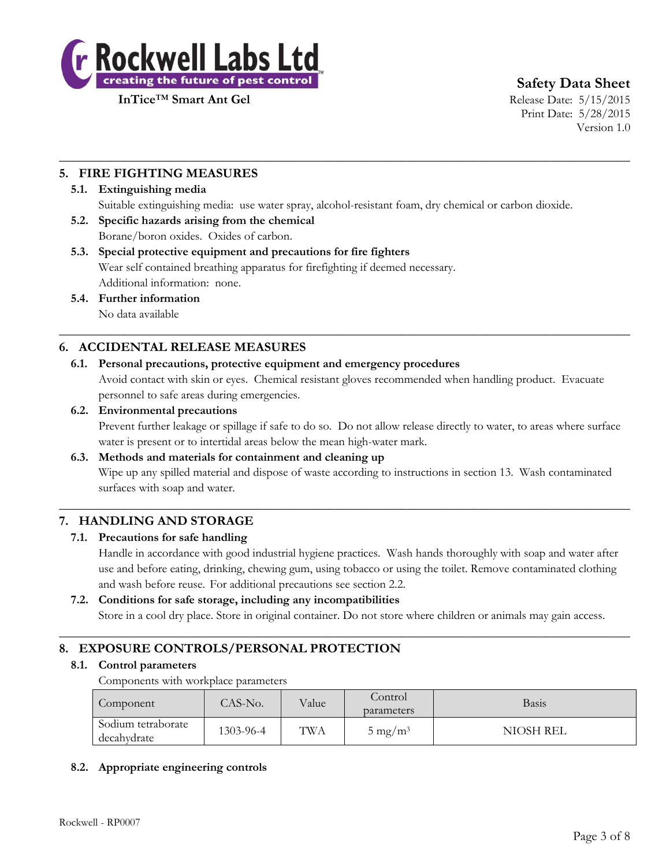

**Safety Data Sheet**

Print Date: 5/28/2015 Version 1.0

### **5. FIRE FIGHTING MEASURES**

#### **5.1. Extinguishing media**

Suitable extinguishing media: use water spray, alcohol-resistant foam, dry chemical or carbon dioxide.

 $\_$  , and the set of the set of the set of the set of the set of the set of the set of the set of the set of the set of the set of the set of the set of the set of the set of the set of the set of the set of the set of th

 $\_$  , and the set of the set of the set of the set of the set of the set of the set of the set of the set of the set of the set of the set of the set of the set of the set of the set of the set of the set of the set of th

- **5.2. Specific hazards arising from the chemical** Borane/boron oxides. Oxides of carbon.
- **5.3. Special protective equipment and precautions for fire fighters** Wear self contained breathing apparatus for firefighting if deemed necessary. Additional information: none.
- **5.4. Further information**

No data available

#### **6. ACCIDENTAL RELEASE MEASURES**

**6.1. Personal precautions, protective equipment and emergency procedures** Avoid contact with skin or eyes. Chemical resistant gloves recommended when handling product. Evacuate

personnel to safe areas during emergencies.

#### **6.2. Environmental precautions**

Prevent further leakage or spillage if safe to do so. Do not allow release directly to water, to areas where surface water is present or to intertidal areas below the mean high-water mark.

#### **6.3. Methods and materials for containment and cleaning up**

Wipe up any spilled material and dispose of waste according to instructions in section 13. Wash contaminated surfaces with soap and water.

 $\_$  , and the set of the set of the set of the set of the set of the set of the set of the set of the set of the set of the set of the set of the set of the set of the set of the set of the set of the set of the set of th

#### **7. HANDLING AND STORAGE**

#### **7.1. Precautions for safe handling**

Handle in accordance with good industrial hygiene practices. Wash hands thoroughly with soap and water after use and before eating, drinking, chewing gum, using tobacco or using the toilet. Remove contaminated clothing and wash before reuse. For additional precautions see section 2.2.

#### **7.2. Conditions for safe storage, including any incompatibilities**

Store in a cool dry place. Store in original container. Do not store where children or animals may gain access.

 $\_$  , and the set of the set of the set of the set of the set of the set of the set of the set of the set of the set of the set of the set of the set of the set of the set of the set of the set of the set of the set of th

# **8. EXPOSURE CONTROLS/PERSONAL PROTECTION**

#### **8.1. Control parameters**

Components with workplace parameters

| Component                         | TAS-No.   | Value | Control<br>parameters | Basis     |
|-----------------------------------|-----------|-------|-----------------------|-----------|
| Sodium tetraborate<br>decahydrate | 1303-96-4 | TWA   | $5 \text{ mg/m}^3$    | NIOSH REL |

#### **8.2. Appropriate engineering controls**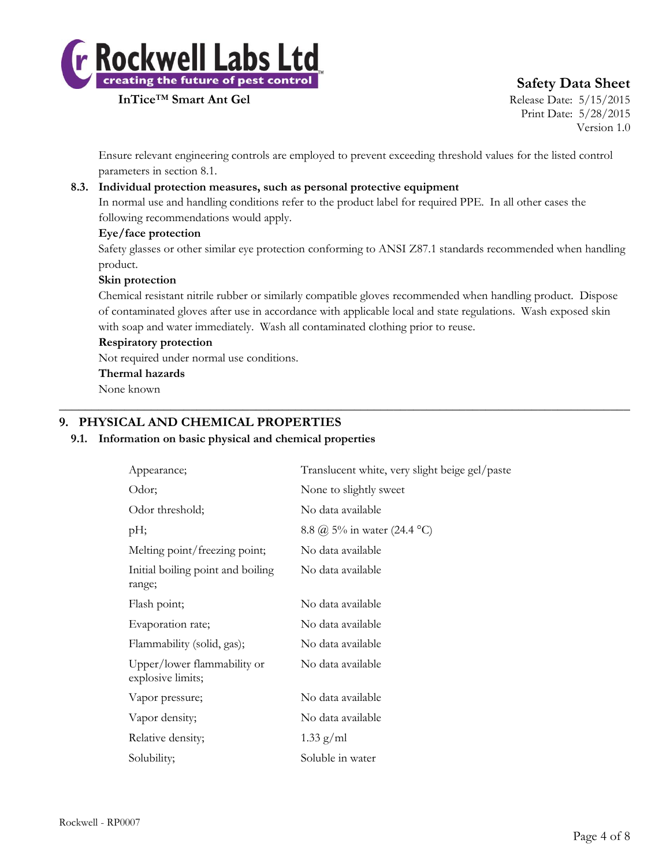

# **Safety Data Sheet**

Print Date: 5/28/2015 Version 1.0

Ensure relevant engineering controls are employed to prevent exceeding threshold values for the listed control parameters in section 8.1.

#### **8.3. Individual protection measures, such as personal protective equipment**

In normal use and handling conditions refer to the product label for required PPE. In all other cases the following recommendations would apply.

#### **Eye/face protection**

Safety glasses or other similar eye protection conforming to ANSI Z87.1 standards recommended when handling product.

#### **Skin protection**

Chemical resistant nitrile rubber or similarly compatible gloves recommended when handling product. Dispose of contaminated gloves after use in accordance with applicable local and state regulations. Wash exposed skin with soap and water immediately. Wash all contaminated clothing prior to reuse.

 $\_$  , and the set of the set of the set of the set of the set of the set of the set of the set of the set of the set of the set of the set of the set of the set of the set of the set of the set of the set of the set of th

#### **Respiratory protection**

Not required under normal use conditions.

#### **Thermal hazards**

None known

#### **9. PHYSICAL AND CHEMICAL PROPERTIES**

#### **9.1. Information on basic physical and chemical properties**

| Appearance;                                      | Translucent white, very slight beige gel/paste |
|--------------------------------------------------|------------------------------------------------|
| Odor;                                            | None to slightly sweet                         |
| Odor threshold;                                  | No data available                              |
| $pH$ ;                                           | 8.8 @ 5% in water (24.4 °C)                    |
| Melting point/freezing point;                    | No data available                              |
| Initial boiling point and boiling<br>range;      | No data available                              |
| Flash point;                                     | No data available                              |
| Evaporation rate;                                | No data available                              |
| Flammability (solid, gas);                       | No data available                              |
| Upper/lower flammability or<br>explosive limits; | No data available                              |
| Vapor pressure;                                  | No data available                              |
| Vapor density;                                   | No data available                              |
| Relative density;                                | $1.33$ g/ml                                    |
| Solubility;                                      | Soluble in water                               |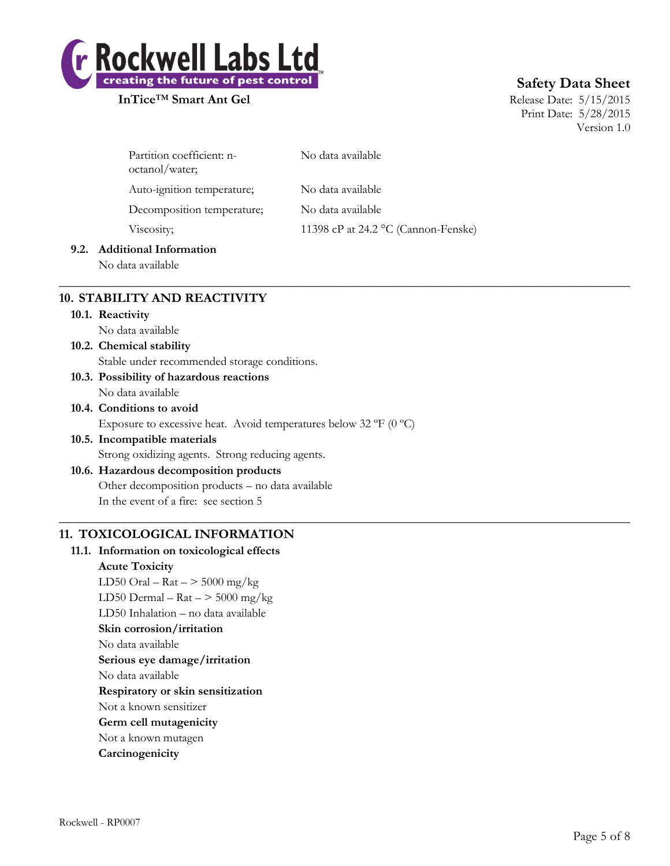

# **Safety Data Sheet**

Print Date: 5/28/2015 Version 1.0

| Partition coefficient: n-<br>octanol/water; | No data available                   |
|---------------------------------------------|-------------------------------------|
| Auto-ignition temperature;                  | No data available                   |
| Decomposition temperature;                  | No data available                   |
| Viscosity;                                  | 11398 cP at 24.2 °C (Cannon-Fenske) |

 $\_$  , and the set of the set of the set of the set of the set of the set of the set of the set of the set of the set of the set of the set of the set of the set of the set of the set of the set of the set of the set of th

 $\_$  , and the set of the set of the set of the set of the set of the set of the set of the set of the set of the set of the set of the set of the set of the set of the set of the set of the set of the set of the set of th

#### **9.2. Additional Information**

No data available

# **10. STABILITY AND REACTIVITY**

**10.1. Reactivity**

No data available

# **10.2. Chemical stability**

Stable under recommended storage conditions.

- **10.3. Possibility of hazardous reactions** No data available
- **10.4. Conditions to avoid** Exposure to excessive heat. Avoid temperatures below 32  $\rm{^{\circ}C}$  (0  $\rm{^{\circ}C}$ )
- **10.5. Incompatible materials** Strong oxidizing agents. Strong reducing agents.
- **10.6. Hazardous decomposition products** Other decomposition products – no data available In the event of a fire: see section 5

# **11. TOXICOLOGICAL INFORMATION**

# **11.1. Information on toxicological effects Acute Toxicity** LD50 Oral –  $\text{Rat}$  –  $>$  5000 mg/kg LD50 Dermal –  $\text{Rat}$  –  $>$  5000 mg/kg LD50 Inhalation – no data available **Skin corrosion/irritation** No data available **Serious eye damage/irritation** No data available **Respiratory or skin sensitization**

Not a known sensitizer

- **Germ cell mutagenicity**
- Not a known mutagen
- **Carcinogenicity**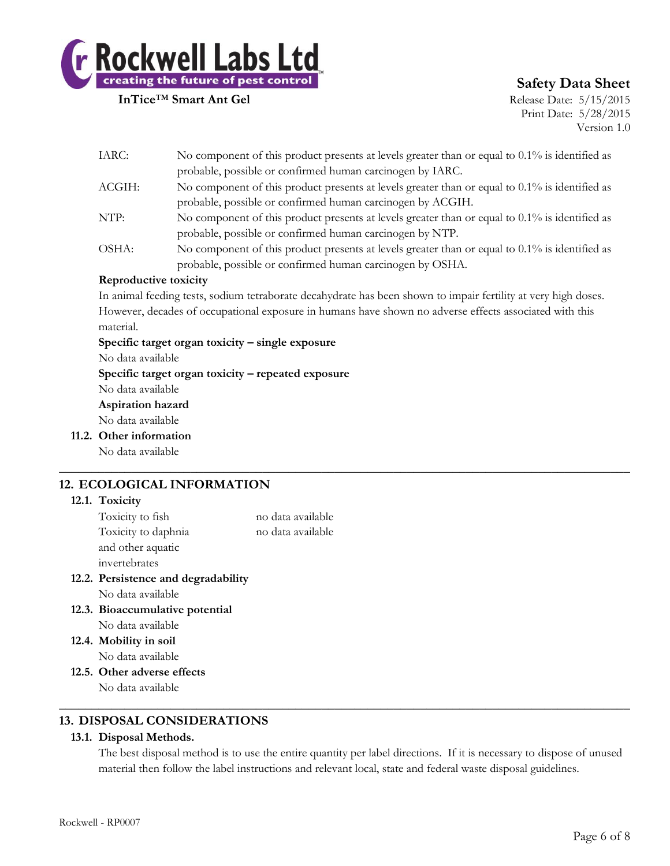

# **Safety Data Sheet**

Print Date: 5/28/2015 Version 1.0

| IARC:                 | No component of this product presents at levels greater than or equal to 0.1% is identified as                 |
|-----------------------|----------------------------------------------------------------------------------------------------------------|
|                       | probable, possible or confirmed human carcinogen by IARC.                                                      |
| ACGIH:                | No component of this product presents at levels greater than or equal to $0.1\%$ is identified as              |
|                       | probable, possible or confirmed human carcinogen by ACGIH.                                                     |
| NTP:                  | No component of this product presents at levels greater than or equal to $0.1\%$ is identified as              |
|                       | probable, possible or confirmed human carcinogen by NTP.                                                       |
| OSHA:                 | No component of this product presents at levels greater than or equal to $0.1\%$ is identified as              |
|                       | probable, possible or confirmed human carcinogen by OSHA.                                                      |
| Reproductive toxicity |                                                                                                                |
|                       | In animal feeding tests, sodium tetraborate decahydrate has been shown to impair fertility at very high doses. |
|                       |                                                                                                                |

However, decades of occupational exposure in humans have shown no adverse effects associated with this material.

 $\_$  , and the set of the set of the set of the set of the set of the set of the set of the set of the set of the set of the set of the set of the set of the set of the set of the set of the set of the set of the set of th

**Specific target organ toxicity – single exposure**

No data available

**Specific target organ toxicity – repeated exposure**

No data available

#### **Aspiration hazard**

No data available

**11.2. Other information**

No data available

# **12. ECOLOGICAL INFORMATION**

#### **12.1. Toxicity**

| Toxicity to fish    | no data available |
|---------------------|-------------------|
| Toxicity to daphnia | no data available |
| and other aquatic   |                   |
| invertebrates       |                   |
|                     |                   |

- **12.2. Persistence and degradability** No data available
- **12.3. Bioaccumulative potential** No data available
- **12.4. Mobility in soil** No data available
- **12.5. Other adverse effects** No data available

#### **13. DISPOSAL CONSIDERATIONS**

#### **13.1. Disposal Methods.**

The best disposal method is to use the entire quantity per label directions. If it is necessary to dispose of unused material then follow the label instructions and relevant local, state and federal waste disposal guidelines.

 $\_$  , and the set of the set of the set of the set of the set of the set of the set of the set of the set of the set of the set of the set of the set of the set of the set of the set of the set of the set of the set of th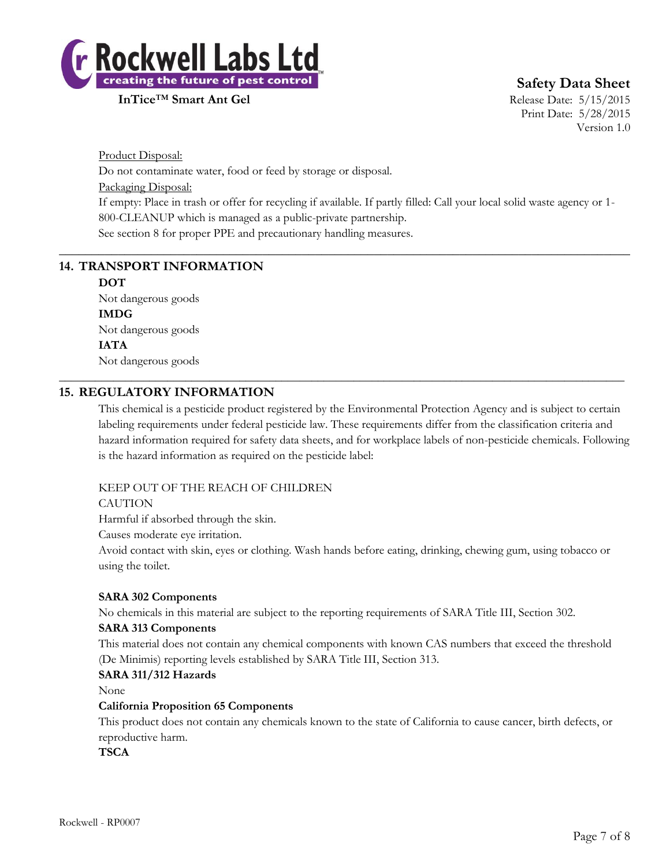

**Safety Data Sheet**

Print Date: 5/28/2015 Version 1.0

Product Disposal: Do not contaminate water, food or feed by storage or disposal. Packaging Disposal: If empty: Place in trash or offer for recycling if available. If partly filled: Call your local solid waste agency or 1- 800-CLEANUP which is managed as a public-private partnership. See section 8 for proper PPE and precautionary handling measures.

 $\_$  , and the set of the set of the set of the set of the set of the set of the set of the set of the set of the set of the set of the set of the set of the set of the set of the set of the set of the set of the set of th

\_\_\_\_\_\_\_\_\_\_\_\_\_\_\_\_\_\_\_\_\_\_\_\_\_\_\_\_\_\_\_\_\_\_\_\_\_\_\_\_\_\_\_\_\_\_\_\_\_\_\_\_\_\_\_\_\_\_\_\_\_\_\_\_\_\_\_\_\_\_\_\_\_\_\_\_\_\_\_\_\_\_\_\_\_\_\_\_\_\_\_\_\_\_

# **14. TRANSPORT INFORMATION**

**DOT** Not dangerous goods **IMDG** Not dangerous goods **IATA** Not dangerous goods

#### **15. REGULATORY INFORMATION**

This chemical is a pesticide product registered by the Environmental Protection Agency and is subject to certain labeling requirements under federal pesticide law. These requirements differ from the classification criteria and hazard information required for safety data sheets, and for workplace labels of non-pesticide chemicals. Following is the hazard information as required on the pesticide label:

#### KEEP OUT OF THE REACH OF CHILDREN

#### **CAUTION**

Harmful if absorbed through the skin.

Causes moderate eye irritation.

Avoid contact with skin, eyes or clothing. Wash hands before eating, drinking, chewing gum, using tobacco or using the toilet.

#### **SARA 302 Components**

No chemicals in this material are subject to the reporting requirements of SARA Title III, Section 302.

#### **SARA 313 Components**

This material does not contain any chemical components with known CAS numbers that exceed the threshold (De Minimis) reporting levels established by SARA Title III, Section 313.

#### **SARA 311/312 Hazards**

None

#### **California Proposition 65 Components**

This product does not contain any chemicals known to the state of California to cause cancer, birth defects, or reproductive harm.

**TSCA**